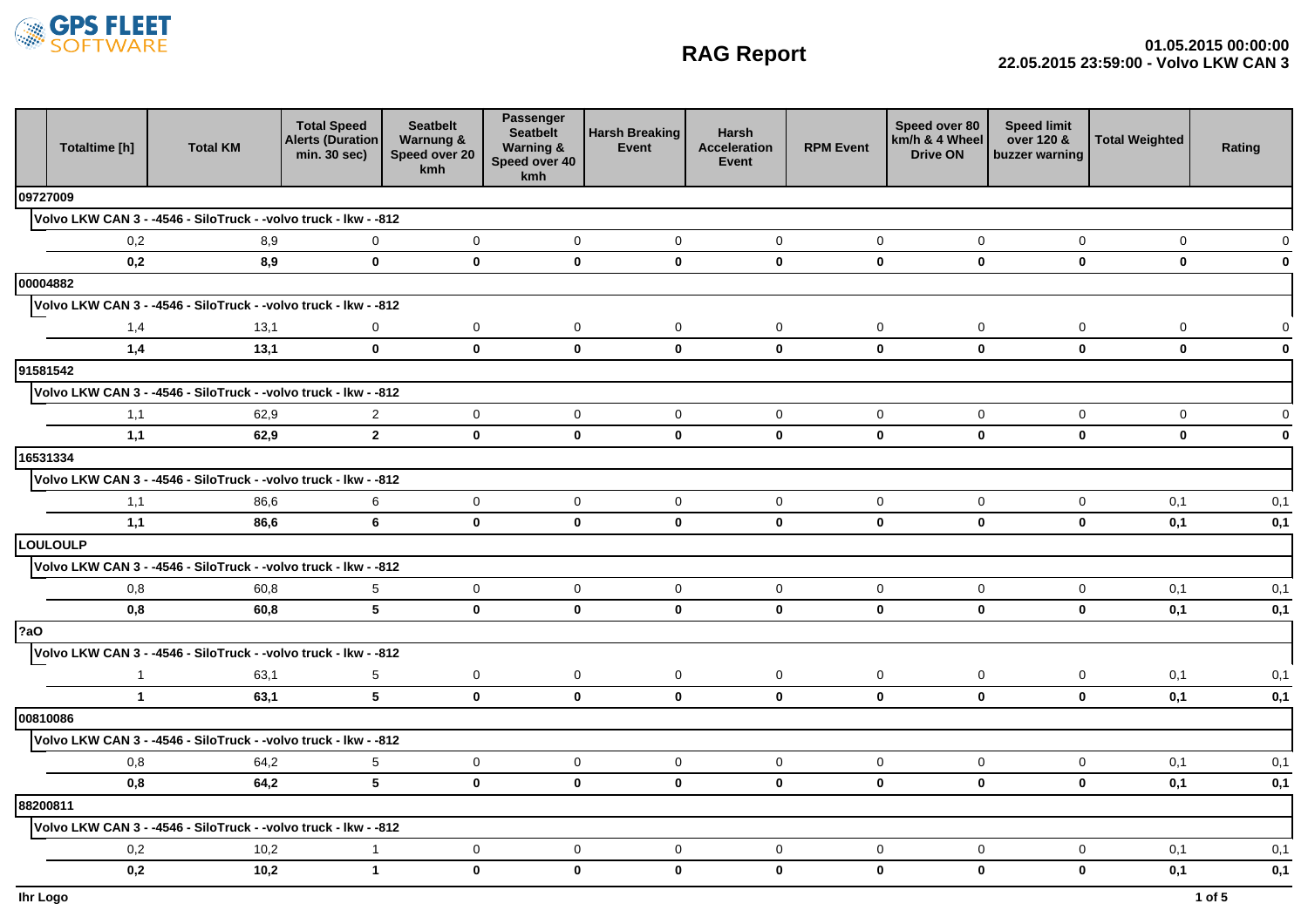

## **RAG Report**

|            | Totaltime [h] | <b>Total KM</b>                                                 | <b>Total Speed</b><br><b>Alerts (Duration</b><br>min. 30 sec) | <b>Seatbelt</b><br>Warnung &<br>Speed over 20<br>kmh | Passenger<br><b>Seatbelt</b><br><b>Warning &amp;</b><br>Speed over 40<br>kmh | <b>Harsh Breaking</b><br>Event | <b>Harsh</b><br><b>Acceleration</b><br>Event | <b>RPM Event</b> | Speed over 80<br>km/h & 4 Wheel<br><b>Drive ON</b> | <b>Speed limit</b><br>over 120 &<br>buzzer warning | <b>Total Weighted</b> | Rating                  |
|------------|---------------|-----------------------------------------------------------------|---------------------------------------------------------------|------------------------------------------------------|------------------------------------------------------------------------------|--------------------------------|----------------------------------------------|------------------|----------------------------------------------------|----------------------------------------------------|-----------------------|-------------------------|
| 09727009   |               |                                                                 |                                                               |                                                      |                                                                              |                                |                                              |                  |                                                    |                                                    |                       |                         |
|            |               | Volvo LKW CAN 3 - -4546 - SiloTruck - -volvo truck - Ikw - -812 |                                                               |                                                      |                                                                              |                                |                                              |                  |                                                    |                                                    |                       |                         |
|            | 0,2           | 8,9                                                             | 0                                                             | 0                                                    | $\mathbf 0$                                                                  | $\mathbf 0$                    | $\mathbf 0$                                  | 0                | $\mathbf 0$                                        | 0                                                  | 0                     |                         |
|            | 0,2           | 8,9                                                             | $\mathbf{0}$                                                  | $\mathbf{0}$                                         | $\mathbf{0}$                                                                 | $\mathbf{0}$                   | $\mathbf{0}$                                 | $\mathbf{0}$     | $\mathbf{0}$                                       | $\mathbf{0}$                                       | $\mathbf 0$           | 0                       |
| 00004882   |               |                                                                 |                                                               |                                                      |                                                                              |                                |                                              |                  |                                                    |                                                    |                       |                         |
|            |               | Volvo LKW CAN 3 - -4546 - SiloTruck - -volvo truck - Ikw - -812 |                                                               |                                                      |                                                                              |                                |                                              |                  |                                                    |                                                    |                       |                         |
|            | 1,4           | 13,1                                                            | $\mathbf 0$                                                   | $\mathbf 0$                                          | $\mathbf 0$                                                                  | $\mathbf 0$                    | $\mathbf 0$                                  | $\mathsf 0$      | $\mathsf{O}\xspace$                                | $\mathbf 0$                                        | $\mathbf 0$           | $\Omega$                |
|            | 1,4           | 13,1                                                            | $\mathbf 0$                                                   | $\mathbf 0$                                          | $\mathbf 0$                                                                  | $\mathbf{0}$                   | $\mathbf{0}$                                 | $\pmb{0}$        | $\mathbf 0$                                        | $\mathbf 0$                                        | $\mathbf 0$           | $\mathbf 0$             |
| 91581542   |               |                                                                 |                                                               |                                                      |                                                                              |                                |                                              |                  |                                                    |                                                    |                       |                         |
|            |               | Volvo LKW CAN 3 - -4546 - SiloTruck - -volvo truck - Ikw - -812 | 2                                                             | $\overline{0}$                                       | $\mathbf{0}$                                                                 | $\mathbf 0$                    | $\mathbf 0$                                  | $\mathbf 0$      | $\mathbf 0$                                        |                                                    | $\mathbf 0$           |                         |
|            | 1,1<br>1,1    | 62,9<br>62,9                                                    | $2^{\circ}$                                                   | $\mathbf{0}$                                         | $\mathbf{0}$                                                                 | $\mathbf{0}$                   | $\mathbf{0}$                                 | $\pmb{0}$        | $\mathbf 0$                                        | $\mathbf 0$<br>$\mathbf 0$                         | $\mathbf 0$           | $\Omega$<br>$\mathbf 0$ |
| 16531334   |               |                                                                 |                                                               |                                                      |                                                                              |                                |                                              |                  |                                                    |                                                    |                       |                         |
|            |               | Volvo LKW CAN 3 - -4546 - SiloTruck - -volvo truck - Ikw - -812 |                                                               |                                                      |                                                                              |                                |                                              |                  |                                                    |                                                    |                       |                         |
|            | 1,1           | 86,6                                                            | 6                                                             | $\overline{0}$                                       | $\mathbf 0$                                                                  | $\mathbf 0$                    | $\mathbf 0$                                  | $\mathbf 0$      | $\mathbf 0$                                        | $\mathbf 0$                                        | 0,1                   | 0,1                     |
|            | 1,1           | 86,6                                                            | 6                                                             | $\mathbf{0}$                                         | $\mathbf{0}$                                                                 | $\mathbf{0}$                   | $\mathbf{0}$                                 | $\mathbf 0$      | $\mathbf 0$                                        | $\mathbf 0$                                        | 0,1                   | 0,1                     |
|            | LOULOULP      |                                                                 |                                                               |                                                      |                                                                              |                                |                                              |                  |                                                    |                                                    |                       |                         |
|            |               | Volvo LKW CAN 3 - -4546 - SiloTruck - -volvo truck - Ikw - -812 |                                                               |                                                      |                                                                              |                                |                                              |                  |                                                    |                                                    |                       |                         |
|            | 0,8           | 60,8                                                            | $5\phantom{.0}$                                               | $\mathbf{0}$                                         | $\mathbf 0$                                                                  | $\mathbf 0$                    | $\mathbf 0$                                  | $\mathbf 0$      | $\mathbf 0$                                        | $\mathbf 0$                                        | 0,1                   | 0,1                     |
|            | 0,8           | 60,8                                                            | 5 <sup>5</sup>                                                | $\mathbf 0$                                          | $\mathbf 0$                                                                  | $\mathbf 0$                    | $\mathbf 0$                                  | $\pmb{0}$        | $\mathbf 0$                                        | $\mathbf 0$                                        | 0,1                   | 0,1                     |
| <b>?aO</b> |               |                                                                 |                                                               |                                                      |                                                                              |                                |                                              |                  |                                                    |                                                    |                       |                         |
|            |               | Volvo LKW CAN 3 - -4546 - SiloTruck - -volvo truck - Ikw - -812 |                                                               |                                                      |                                                                              |                                |                                              |                  |                                                    |                                                    |                       |                         |
|            | $\mathbf{1}$  | 63,1                                                            | $5\phantom{.0}$                                               | 0                                                    | $\mathbf 0$                                                                  | $\mathbf 0$                    | $\mathbf 0$                                  | $\mathsf 0$      | $\mathbf 0$                                        | $\mathbf 0$                                        | 0,1                   | 0,1                     |
|            | $\mathbf{1}$  | 63,1                                                            | 5 <sup>5</sup>                                                | $\mathbf{0}$                                         | $\mathbf{0}$                                                                 | $\mathbf{0}$                   | $\mathbf{0}$                                 | $\mathbf{0}$     | $\mathbf{0}$                                       | $\mathbf{0}$                                       | 0,1                   | 0,1                     |
| 00810086   |               |                                                                 |                                                               |                                                      |                                                                              |                                |                                              |                  |                                                    |                                                    |                       |                         |
|            |               | Volvo LKW CAN 3 - -4546 - SiloTruck - -volvo truck - Ikw - -812 |                                                               |                                                      |                                                                              |                                |                                              |                  |                                                    |                                                    |                       |                         |
|            | 0,8           | 64,2                                                            | $5\phantom{.0}$                                               | $\mathbf 0$                                          | $\mathbf 0$                                                                  | $\mathbf 0$                    | $\mathbf 0$                                  | $\mathsf 0$      | $\mathbf 0$                                        | $\mathbf 0$                                        | 0,1                   | 0,1                     |
|            | 0.8           | 64,2                                                            | 5                                                             | $\mathbf{0}$                                         | $\mathbf{0}$                                                                 | $\mathbf{0}$                   | $\mathbf{0}$                                 | $\mathbf{0}$     | $\mathbf{0}$                                       | $\mathbf{0}$                                       | 0,1                   | 0,1                     |
| 88200811   |               |                                                                 |                                                               |                                                      |                                                                              |                                |                                              |                  |                                                    |                                                    |                       |                         |
|            |               | Volvo LKW CAN 3 - -4546 - SiloTruck - -volvo truck - Ikw - -812 |                                                               |                                                      |                                                                              |                                |                                              |                  |                                                    |                                                    |                       |                         |
|            | 0,2           | 10,2                                                            | 1                                                             | 0                                                    | $\mathbf 0$                                                                  | 0                              | $\mathbf 0$                                  | $\mathbf 0$      | 0                                                  | $\mathbf 0$                                        | 0,1                   | 0,1                     |
|            | 0,2           | 10,2                                                            | $\mathbf{1}$                                                  | $\mathbf{0}$                                         | $\mathbf{0}$                                                                 | $\mathbf{0}$                   | $\mathbf{0}$                                 | $\mathbf{0}$     | $\mathbf{0}$                                       | $\mathbf{0}$                                       | 0,1                   | 0,1                     |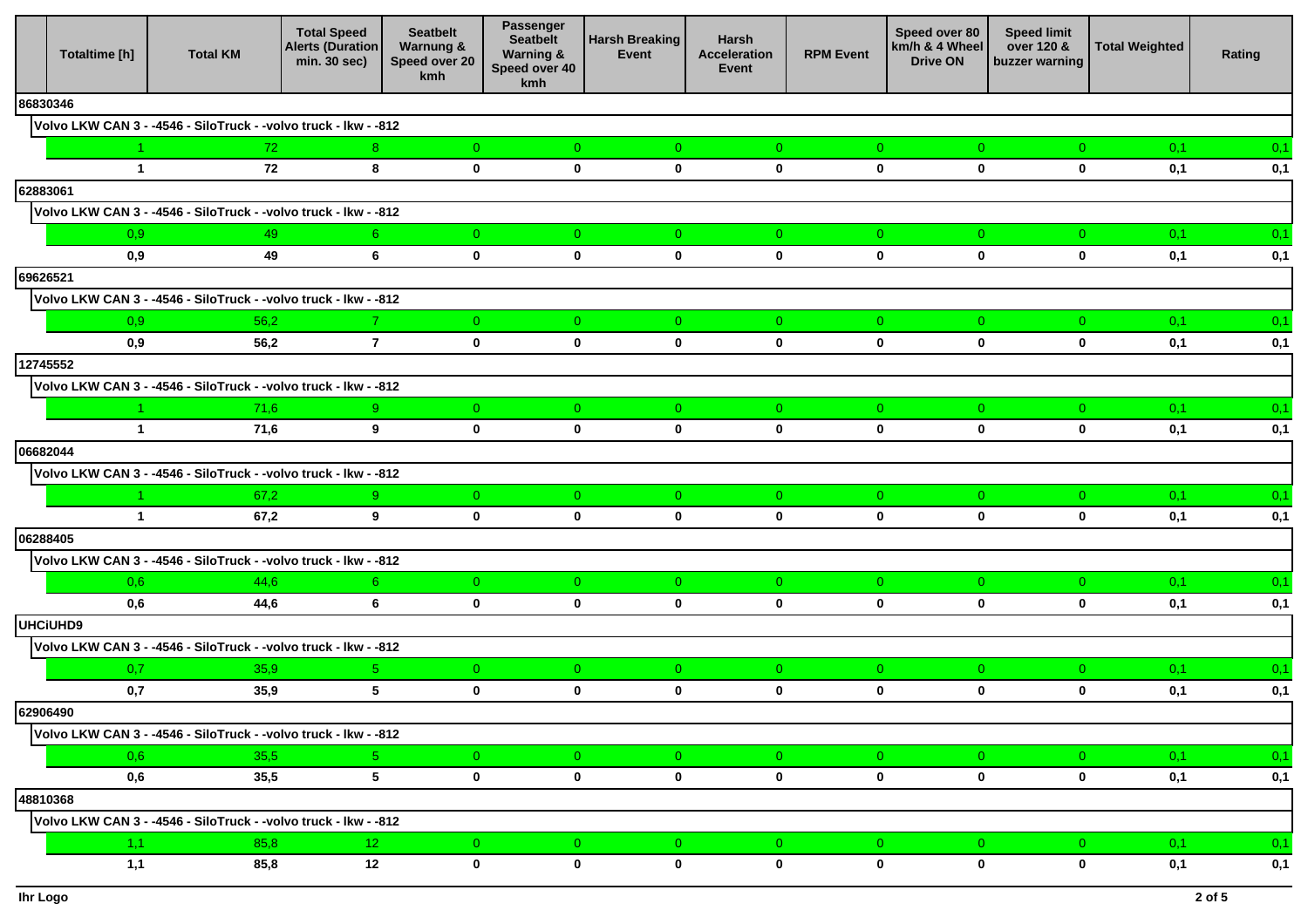|          | Totaltime [h]                        | <b>Total KM</b>                                                 | <b>Total Speed</b><br><b>Alerts (Duration</b><br>min. 30 sec) | <b>Seatbelt</b><br>Warnung &<br>Speed over 20<br>kmh | Passenger<br><b>Seatbelt</b><br><b>Warning &amp;</b><br>Speed over 40<br>kmh | <b>Harsh Breaking</b><br>Event | Harsh<br><b>Acceleration</b><br>Event | <b>RPM Event</b>              | Speed over 80<br>km/h & 4 Wheel<br><b>Drive ON</b> | <b>Speed limit</b><br>over 120 &<br>buzzer warning | <b>Total Weighted</b> | Rating |
|----------|--------------------------------------|-----------------------------------------------------------------|---------------------------------------------------------------|------------------------------------------------------|------------------------------------------------------------------------------|--------------------------------|---------------------------------------|-------------------------------|----------------------------------------------------|----------------------------------------------------|-----------------------|--------|
| 86830346 |                                      |                                                                 |                                                               |                                                      |                                                                              |                                |                                       |                               |                                                    |                                                    |                       |        |
|          |                                      | Volvo LKW CAN 3 - -4546 - SiloTruck - -volvo truck - Ikw - -812 |                                                               |                                                      |                                                                              |                                |                                       |                               |                                                    |                                                    |                       |        |
|          |                                      | 72                                                              | 8 <sup>1</sup>                                                | $\overline{0}$                                       | $\overline{0}$                                                               | $\overline{0}$                 | $\overline{0}$                        | $\overline{0}$                | $\overline{0}$                                     | $\overline{0}$                                     | 0,1                   | 0,1    |
|          | $\mathbf{1}$                         | 72                                                              | 8                                                             | $\mathbf 0$                                          | $\mathbf 0$                                                                  | $\mathbf 0$                    | $\mathbf 0$                           | $\mathbf 0$                   | $\mathbf 0$                                        | $\mathbf 0$                                        | 0,1                   | 0,1    |
| 62883061 |                                      |                                                                 |                                                               |                                                      |                                                                              |                                |                                       |                               |                                                    |                                                    |                       |        |
|          |                                      | Volvo LKW CAN 3 - -4546 - SiloTruck - -volvo truck - Ikw - -812 |                                                               |                                                      |                                                                              |                                |                                       |                               |                                                    |                                                    |                       |        |
|          | 0,9                                  | 49                                                              | 6 <sup>1</sup>                                                | $\overline{0}$                                       | $\overline{0}$                                                               | $\overline{0}$                 | $\overline{0}$                        | $\overline{0}$                | $\overline{0}$                                     | $\overline{0}$                                     | 0,1                   | 0,1    |
|          | 0,9                                  | 49                                                              | 6                                                             | $\mathbf 0$                                          | $\mathbf{0}$                                                                 | $\mathbf 0$                    | $\mathbf 0$                           | $\mathbf 0$                   | $\mathbf 0$                                        | $\mathbf 0$                                        | 0,1                   | 0,1    |
| 69626521 |                                      |                                                                 |                                                               |                                                      |                                                                              |                                |                                       |                               |                                                    |                                                    |                       |        |
|          |                                      | Volvo LKW CAN 3 - -4546 - SiloTruck - -volvo truck - lkw - -812 |                                                               |                                                      |                                                                              |                                |                                       |                               |                                                    |                                                    |                       |        |
|          | 0,9                                  | 56,2                                                            |                                                               | $\overline{0}$                                       | $\overline{0}$                                                               | $\overline{0}$                 | $\overline{0}$                        | $\overline{0}$                | $\overline{0}$                                     | $\overline{0}$                                     | 0,1                   | 0,1    |
|          | 0.9                                  | 56,2                                                            | $\overline{7}$                                                | $\mathbf 0$                                          | $\mathbf 0$                                                                  | $\mathbf 0$                    | $\mathbf 0$                           | 0                             | $\bf{0}$                                           | $\mathbf 0$                                        | 0,1                   | 0,1    |
| 12745552 |                                      |                                                                 |                                                               |                                                      |                                                                              |                                |                                       |                               |                                                    |                                                    |                       |        |
|          |                                      | Volvo LKW CAN 3 - -4546 - SiloTruck - -volvo truck - lkw - -812 |                                                               |                                                      |                                                                              |                                |                                       |                               |                                                    |                                                    |                       |        |
|          | $\blacktriangleleft$<br>$\mathbf{1}$ | 71,6<br>71,6                                                    | 9 <sub>o</sub><br>9                                           | $\overline{0}$<br>$\mathbf 0$                        | $\overline{0}$<br>$\mathbf 0$                                                | $\overline{0}$<br>$\mathbf 0$  | $\overline{0}$<br>$\mathbf 0$         | $\overline{0}$<br>$\mathbf 0$ | $\overline{0}$<br>$\mathbf 0$                      | $\overline{0}$<br>$\mathbf 0$                      | 0,1<br>0,1            | 0,1    |
| 06682044 |                                      |                                                                 |                                                               |                                                      |                                                                              |                                |                                       |                               |                                                    |                                                    |                       | 0,1    |
|          |                                      | Volvo LKW CAN 3 - -4546 - SiloTruck - -volvo truck - lkw - -812 |                                                               |                                                      |                                                                              |                                |                                       |                               |                                                    |                                                    |                       |        |
|          |                                      | 67,2                                                            | 9 <sup>°</sup>                                                | $\overline{0}$                                       | $\overline{0}$                                                               | $\overline{0}$                 | $\overline{0}$                        | $\overline{0}$                | $\overline{0}$                                     | $\overline{0}$                                     | 0,1                   | 0,1    |
|          | $\mathbf{1}$                         | 67,2                                                            | 9                                                             | $\mathbf 0$                                          | $\mathbf 0$                                                                  | $\mathbf 0$                    | $\mathbf 0$                           | $\mathbf 0$                   | $\mathbf 0$                                        | $\mathbf 0$                                        | 0,1                   | 0,1    |
| 06288405 |                                      |                                                                 |                                                               |                                                      |                                                                              |                                |                                       |                               |                                                    |                                                    |                       |        |
|          |                                      | Volvo LKW CAN 3 - -4546 - SiloTruck - -volvo truck - lkw - -812 |                                                               |                                                      |                                                                              |                                |                                       |                               |                                                    |                                                    |                       |        |
|          | 0,6                                  | 44,6                                                            | 6 <sup>1</sup>                                                | $\overline{0}$                                       | $\overline{0}$                                                               | $\overline{0}$                 | $\overline{0}$                        | $\overline{0}$                | $\overline{0}$                                     | $\overline{0}$                                     | 0,1                   | 0,1    |
|          | 0,6                                  | 44,6                                                            | 6                                                             | $\mathbf 0$                                          | $\mathbf 0$                                                                  | $\mathbf 0$                    | $\mathbf 0$                           | 0                             | $\bf{0}$                                           | $\mathbf 0$                                        | 0,1                   | 0,1    |
|          | UHCiUHD9                             |                                                                 |                                                               |                                                      |                                                                              |                                |                                       |                               |                                                    |                                                    |                       |        |
|          |                                      | Volvo LKW CAN 3 - -4546 - SiloTruck - -volvo truck - Ikw - -812 |                                                               |                                                      |                                                                              |                                |                                       |                               |                                                    |                                                    |                       |        |
|          | 0,7                                  | 35,9                                                            | $5 -$                                                         | $\overline{0}$                                       | $\overline{0}$                                                               | $\overline{0}$                 | $\overline{0}$                        | $\overline{0}$                | $\overline{0}$                                     | $\overline{0}$                                     | 0,1                   | 0,1    |
|          | 0,7                                  | 35,9                                                            | $5^{\circ}$                                                   | $\mathbf 0$                                          | $\mathbf 0$                                                                  | $\mathbf 0$                    | $\mathbf 0$                           | $\mathbf 0$                   | $\mathbf 0$                                        | $\mathbf 0$                                        | 0,1                   | 0,1    |
|          | 62906490                             |                                                                 |                                                               |                                                      |                                                                              |                                |                                       |                               |                                                    |                                                    |                       |        |
|          |                                      | Volvo LKW CAN 3 - -4546 - SiloTruck - -volvo truck - Ikw - -812 |                                                               |                                                      |                                                                              |                                |                                       |                               |                                                    |                                                    |                       |        |
|          | 0,6                                  | 35,5                                                            | $5 -$                                                         | $\overline{0}$                                       | $\overline{0}$                                                               | $\overline{0}$                 | $\overline{0}$                        | $\overline{0}$                | $\overline{0}$                                     | $\overline{0}$                                     | 0,1                   | 0,1    |
|          | 0,6                                  | 35,5                                                            | 5 <sup>1</sup>                                                | $\mathbf 0$                                          | $\mathbf{0}$                                                                 | $\mathbf 0$                    | $\mathbf 0$                           | $\mathbf 0$                   | $\mathbf 0$                                        | $\mathbf 0$                                        | 0,1                   | 0,1    |
| 48810368 |                                      |                                                                 |                                                               |                                                      |                                                                              |                                |                                       |                               |                                                    |                                                    |                       |        |
|          |                                      | Volvo LKW CAN 3 - -4546 - SiloTruck - -volvo truck - lkw - -812 |                                                               |                                                      |                                                                              |                                |                                       |                               |                                                    |                                                    |                       |        |
|          | 1,1                                  | 85,8                                                            | 12 <sub>1</sub>                                               | $\mathbf{0}$                                         | $\overline{0}$                                                               | $\overline{0}$                 | $\overline{0}$                        | $\overline{0}$                | $\overline{0}$                                     | $\overline{0}$                                     | 0,1                   | 0,1    |
|          | 1,1                                  | 85,8                                                            | 12                                                            | $\mathbf 0$                                          | $\mathbf 0$                                                                  | $\mathbf 0$                    | $\bf{0}$                              | $\mathbf 0$                   | $\mathbf 0$                                        | 0                                                  | 0,1                   | 0,1    |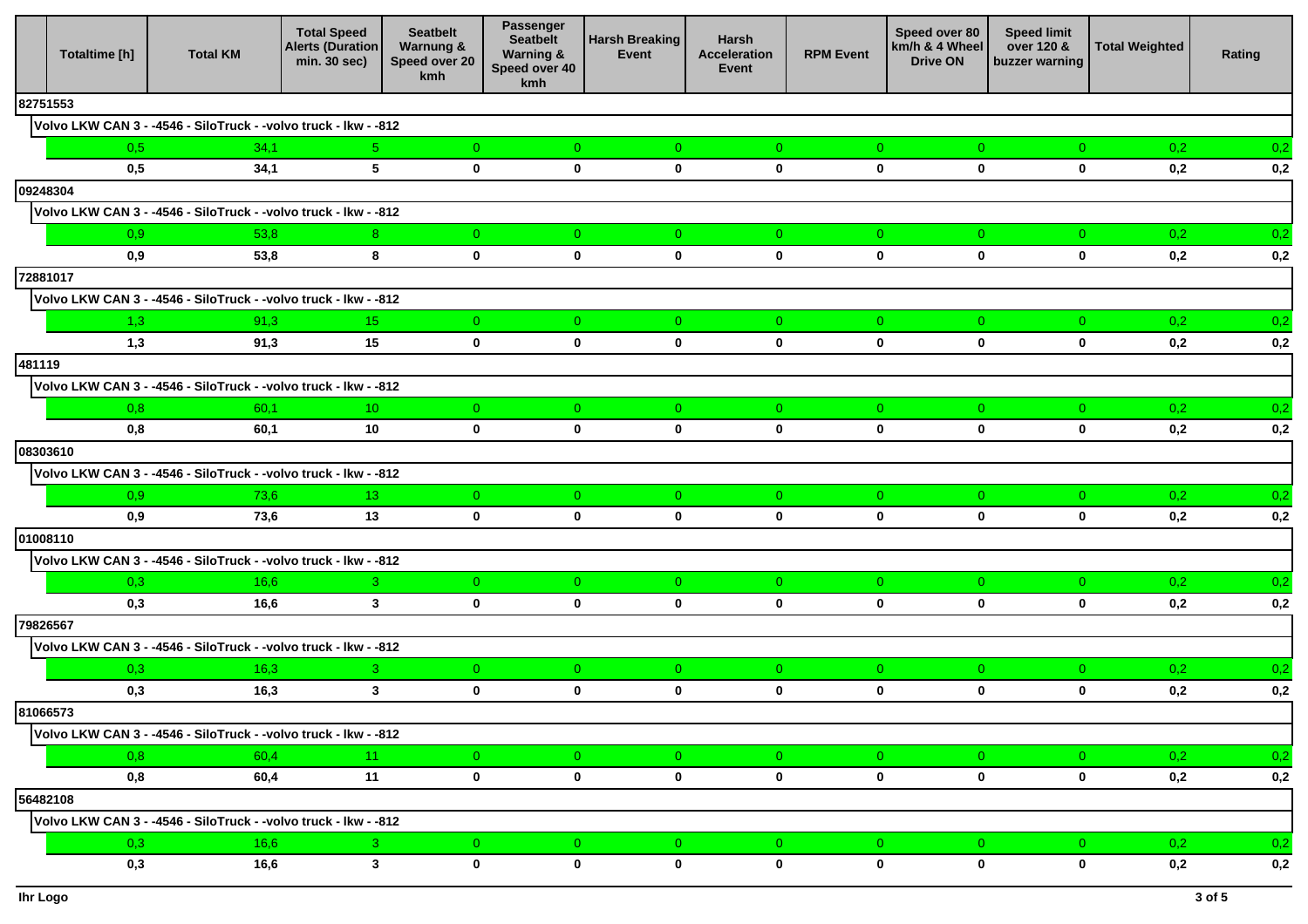|          | Totaltime [h] | <b>Total KM</b>                                                 | <b>Total Speed</b><br><b>Alerts (Duration</b><br>min. 30 sec) | <b>Seatbelt</b><br><b>Warnung &amp;</b><br>Speed over 20<br><b>kmh</b> | Passenger<br><b>Seatbelt</b><br><b>Warning &amp;</b><br>Speed over 40<br>kmh | <b>Harsh Breaking</b><br>Event | Harsh<br>Acceleration<br>Event | <b>RPM Event</b> | Speed over 80<br>km/h & 4 Wheel<br><b>Drive ON</b> | <b>Speed limit</b><br>over 120 &<br>buzzer warning | <b>Total Weighted</b> | Rating           |
|----------|---------------|-----------------------------------------------------------------|---------------------------------------------------------------|------------------------------------------------------------------------|------------------------------------------------------------------------------|--------------------------------|--------------------------------|------------------|----------------------------------------------------|----------------------------------------------------|-----------------------|------------------|
| 82751553 |               |                                                                 |                                                               |                                                                        |                                                                              |                                |                                |                  |                                                    |                                                    |                       |                  |
|          |               | Volvo LKW CAN 3 - -4546 - SiloTruck - -volvo truck - lkw - -812 |                                                               |                                                                        |                                                                              |                                |                                |                  |                                                    |                                                    |                       |                  |
|          | 0.5           | 34,1                                                            | 5 <sub>1</sub>                                                | $\overline{0}$                                                         | $\overline{0}$                                                               | $\overline{0}$                 | $\overline{0}$                 | $\overline{0}$   | $\overline{0}$                                     | $\overline{0}$                                     | 0,2                   | 0,2              |
|          | 0.5           | 34,1                                                            | 5 <sup>5</sup>                                                | $\mathbf 0$                                                            | $\mathbf 0$                                                                  | $\mathbf 0$                    | $\mathbf 0$                    | $\mathbf 0$      | $\mathbf 0$                                        | $\bf{0}$                                           | 0,2                   | 0,2              |
| 09248304 |               |                                                                 |                                                               |                                                                        |                                                                              |                                |                                |                  |                                                    |                                                    |                       |                  |
|          |               | Volvo LKW CAN 3 - -4546 - SiloTruck - -volvo truck - Ikw - -812 |                                                               |                                                                        |                                                                              |                                |                                |                  |                                                    |                                                    |                       |                  |
|          | 0.9           | 53,8                                                            | 8 <sup>1</sup>                                                | $\overline{0}$                                                         | $\overline{0}$                                                               | $\overline{0}$                 | $\overline{0}$                 | $\overline{0}$   | $\overline{0}$                                     | $\overline{0}$                                     | 0,2                   | 0,2              |
|          | 0,9           | 53,8                                                            | 8                                                             | $\mathbf 0$                                                            | $\mathbf 0$                                                                  | $\mathbf 0$                    | $\mathbf 0$                    | $\mathbf 0$      | $\mathbf 0$                                        | $\bf{0}$                                           | 0,2                   | 0,2              |
| 72881017 |               |                                                                 |                                                               |                                                                        |                                                                              |                                |                                |                  |                                                    |                                                    |                       |                  |
|          |               | Volvo LKW CAN 3 - -4546 - SiloTruck - -volvo truck - Ikw - -812 |                                                               |                                                                        |                                                                              |                                |                                |                  |                                                    |                                                    |                       |                  |
|          | 1,3           | 91,3                                                            | 15 <sub>1</sub>                                               | $\overline{0}$                                                         | $\overline{0}$                                                               | $\overline{0}$                 | $\overline{0}$                 | $\overline{0}$   | $\overline{0}$                                     | $\overline{0}$                                     | 0,2                   | 0,2              |
|          | 1,3           | 91,3                                                            | 15                                                            | $\mathbf 0$                                                            | $\mathbf 0$                                                                  | $\mathbf 0$                    | $\mathbf 0$                    | $\mathbf 0$      | $\bf{0}$                                           | $\bf{0}$                                           | 0,2                   | 0,2              |
| 481119   |               |                                                                 |                                                               |                                                                        |                                                                              |                                |                                |                  |                                                    |                                                    |                       |                  |
|          |               | Volvo LKW CAN 3 - -4546 - SiloTruck - -volvo truck - lkw - -812 |                                                               |                                                                        |                                                                              |                                |                                |                  |                                                    |                                                    |                       |                  |
|          | 0,8           | 60,1                                                            | 10 <sup>°</sup>                                               | $\overline{0}$                                                         | $\overline{0}$                                                               | $\overline{0}$                 | $\overline{0}$                 | $\overline{0}$   | $\overline{0}$                                     | $\overline{0}$                                     | 0,2                   | 0,2              |
|          | 0,8           | 60,1                                                            | 10                                                            | $\mathbf 0$                                                            | $\mathbf 0$                                                                  | $\mathbf 0$                    | $\mathbf 0$                    | $\mathbf 0$      | $\mathbf 0$                                        | $\mathbf 0$                                        | 0,2                   | 0,2              |
| 08303610 |               |                                                                 |                                                               |                                                                        |                                                                              |                                |                                |                  |                                                    |                                                    |                       |                  |
|          |               | Volvo LKW CAN 3 - -4546 - SiloTruck - -volvo truck - lkw - -812 |                                                               |                                                                        |                                                                              |                                |                                |                  |                                                    |                                                    |                       |                  |
|          | 0.9           | 73,6                                                            | 13 <sup>°</sup>                                               | $\overline{0}$                                                         | $\overline{0}$                                                               | $\overline{0}$                 | $\overline{0}$                 | $\overline{0}$   | $\overline{0}$                                     | $\overline{0}$                                     | 0,2                   | 0,2              |
|          | 0,9           | 73,6                                                            | 13                                                            | $\mathbf 0$                                                            | $\mathbf 0$                                                                  | $\mathbf 0$                    | $\mathbf 0$                    | $\mathbf 0$      | $\mathbf 0$                                        | $\bf{0}$                                           | 0,2                   | 0,2              |
| 01008110 |               |                                                                 |                                                               |                                                                        |                                                                              |                                |                                |                  |                                                    |                                                    |                       |                  |
|          |               | Volvo LKW CAN 3 - -4546 - SiloTruck - -volvo truck - lkw - -812 |                                                               |                                                                        |                                                                              |                                |                                |                  |                                                    |                                                    |                       |                  |
|          | 0,3           | 16,6                                                            | 3 <sup>7</sup>                                                | $\overline{0}$                                                         | $\overline{0}$                                                               | $\overline{0}$                 | $\overline{0}$                 | $\overline{0}$   | $\overline{0}$                                     | $\overline{0}$                                     | 0,2                   | 0,2              |
|          | 0,3           | 16,6                                                            | $3^{\circ}$                                                   | $\mathbf 0$                                                            | $\mathbf 0$                                                                  | $\mathbf 0$                    | $\mathbf 0$                    | $\mathbf 0$      | $\bf{0}$                                           | $\bf{0}$                                           | 0,2                   | 0,2              |
| 79826567 |               |                                                                 |                                                               |                                                                        |                                                                              |                                |                                |                  |                                                    |                                                    |                       |                  |
|          |               | Volvo LKW CAN 3 - -4546 - SiloTruck - -volvo truck - lkw - -812 |                                                               |                                                                        |                                                                              |                                |                                |                  |                                                    |                                                    |                       |                  |
|          | 0.3           | 16,3                                                            | 3 <sup>°</sup>                                                | $\overline{0}$                                                         | $\overline{0}$                                                               | $\overline{0}$                 | $\overline{0}$                 | $\overline{0}$   | $\overline{0}$                                     | $\overline{0}$                                     | 0,2                   | 0,2              |
|          | 0,3           | 16,3                                                            | $\mathbf{3}$                                                  | $\mathbf 0$                                                            | $\mathbf 0$                                                                  | $\mathbf 0$                    | $\mathbf{0}$                   | $\mathbf 0$      | $\mathbf 0$                                        | $\mathbf 0$                                        | 0,2                   | 0,2              |
| 81066573 |               |                                                                 |                                                               |                                                                        |                                                                              |                                |                                |                  |                                                    |                                                    |                       |                  |
|          |               | Volvo LKW CAN 3 - -4546 - SiloTruck - -volvo truck - Ikw - -812 |                                                               |                                                                        |                                                                              |                                |                                |                  |                                                    |                                                    |                       |                  |
|          | 0,8           | 60,4                                                            | 11 <sub>1</sub>                                               | $\mathbf{0}$                                                           | $\overline{0}$                                                               | $\overline{0}$                 | $\overline{0}$                 | $\overline{0}$   | $\overline{0}$                                     | $\overline{0}$                                     | 0,2                   | 0,2              |
|          | 0,8           | 60,4                                                            | 11                                                            | $\mathbf 0$                                                            | $\mathbf 0$                                                                  | $\mathbf 0$                    | $\mathbf{0}$                   | $\mathbf{0}$     | $\mathbf 0$                                        | $\bf{0}$                                           | 0,2                   | $\mathbf{0{,}}2$ |
| 56482108 |               |                                                                 |                                                               |                                                                        |                                                                              |                                |                                |                  |                                                    |                                                    |                       |                  |
|          |               | Volvo LKW CAN 3 - -4546 - SiloTruck - -volvo truck - Ikw - -812 |                                                               |                                                                        |                                                                              |                                |                                |                  |                                                    |                                                    |                       |                  |
|          | 0,3           | 16,6                                                            | $3 -$                                                         | $\overline{0}$                                                         | $\overline{0}$                                                               | $\overline{0}$                 | $\overline{0}$                 | $\overline{0}$   | $\overline{0}$                                     | $\overline{0}$                                     | 0,2                   | 0,2              |
|          | 0,3           | 16,6                                                            | 3 <sup>7</sup>                                                | $\mathbf 0$                                                            | $\mathbf 0$                                                                  | $\mathbf 0$                    | $\mathbf 0$                    | $\mathbf 0$      | $\bf{0}$                                           | $\bf{0}$                                           | 0,2                   | 0,2              |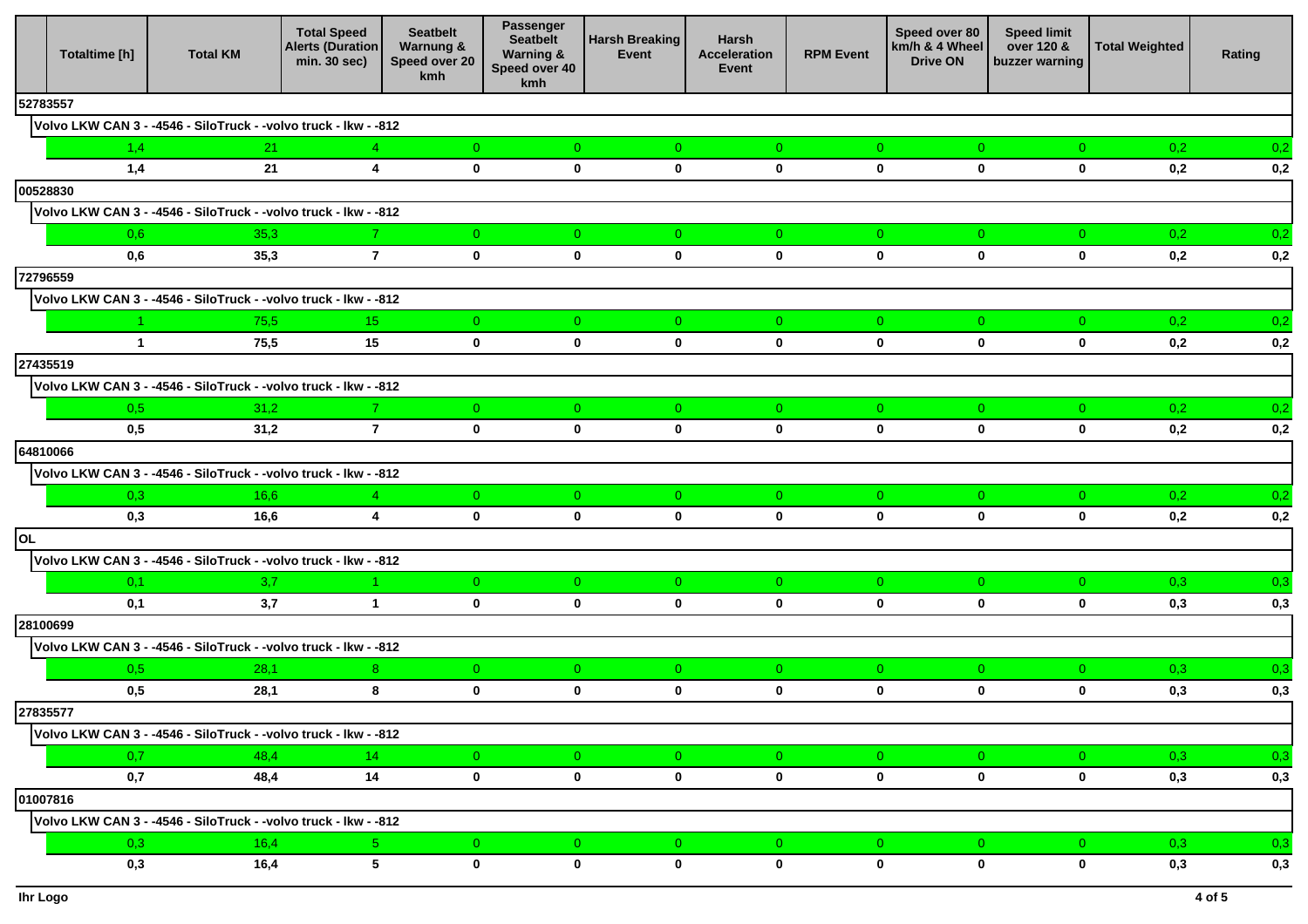|          | Totaltime [h] | <b>Total KM</b>                                                 | <b>Total Speed</b><br><b>Alerts (Duration</b><br>min. 30 sec) | <b>Seatbelt</b><br><b>Warnung &amp;</b><br>Speed over 20<br><b>kmh</b> | Passenger<br><b>Seatbelt</b><br><b>Warning &amp;</b><br>Speed over 40<br>kmh | <b>Harsh Breaking</b><br>Event | Harsh<br>Acceleration<br>Event | <b>RPM Event</b>              | Speed over 80<br>km/h & 4 Wheel<br><b>Drive ON</b> | <b>Speed limit</b><br>over 120 &<br>buzzer warning | <b>Total Weighted</b> | Rating |
|----------|---------------|-----------------------------------------------------------------|---------------------------------------------------------------|------------------------------------------------------------------------|------------------------------------------------------------------------------|--------------------------------|--------------------------------|-------------------------------|----------------------------------------------------|----------------------------------------------------|-----------------------|--------|
| 52783557 |               |                                                                 |                                                               |                                                                        |                                                                              |                                |                                |                               |                                                    |                                                    |                       |        |
|          |               | Volvo LKW CAN 3 - -4546 - SiloTruck - -volvo truck - lkw - -812 |                                                               |                                                                        |                                                                              |                                |                                |                               |                                                    |                                                    |                       |        |
|          | 1,4           | 21                                                              | 4 <sup>1</sup>                                                | $\overline{0}$                                                         | $\overline{0}$                                                               | $\overline{0}$                 | $\overline{0}$                 | $\overline{0}$                | $\overline{0}$                                     | $\overline{0}$                                     | 0,2                   | 0,2    |
|          | 1,4           | 21                                                              | 4                                                             | $\mathbf 0$                                                            | $\mathbf 0$                                                                  | $\mathbf 0$                    | $\mathbf 0$                    | $\mathbf 0$                   | $\mathbf 0$                                        | $\bf{0}$                                           | 0,2                   | 0,2    |
| 00528830 |               |                                                                 |                                                               |                                                                        |                                                                              |                                |                                |                               |                                                    |                                                    |                       |        |
|          |               | Volvo LKW CAN 3 - -4546 - SiloTruck - -volvo truck - lkw - -812 |                                                               |                                                                        |                                                                              |                                |                                |                               |                                                    |                                                    |                       |        |
|          | 0,6           | 35,3                                                            | 7 <sup>1</sup>                                                | $\overline{0}$                                                         | $\overline{0}$                                                               | $\overline{0}$                 | $\overline{0}$                 | $\overline{0}$                | $\overline{0}$                                     | $\overline{0}$                                     | 0,2                   | 0,2    |
|          | 0,6           | 35,3                                                            | $\overline{7}$                                                | $\mathbf 0$                                                            | $\mathbf 0$                                                                  | $\mathbf 0$                    | $\mathbf 0$                    | $\mathbf 0$                   | $\mathbf 0$                                        | $\bf{0}$                                           | 0,2                   | 0,2    |
| 72796559 |               |                                                                 |                                                               |                                                                        |                                                                              |                                |                                |                               |                                                    |                                                    |                       |        |
|          |               | Volvo LKW CAN 3 - -4546 - SiloTruck - -volvo truck - Ikw - -812 |                                                               |                                                                        |                                                                              |                                |                                |                               |                                                    |                                                    |                       |        |
|          |               | 75,5                                                            | 15 <sub>1</sub>                                               | $\overline{0}$                                                         | $\overline{0}$                                                               | $\overline{0}$                 | $\overline{0}$                 | $\overline{0}$                | $\overline{0}$                                     | $\overline{0}$                                     | 0,2                   | 0,2    |
|          | $\mathbf{1}$  | 75,5                                                            | 15                                                            | $\mathbf 0$                                                            | $\mathbf 0$                                                                  | $\mathbf 0$                    | $\mathbf 0$                    | $\mathbf 0$                   | $\bf{0}$                                           | $\bf{0}$                                           | 0,2                   | 0,2    |
| 27435519 |               |                                                                 |                                                               |                                                                        |                                                                              |                                |                                |                               |                                                    |                                                    |                       |        |
|          |               | Volvo LKW CAN 3 - -4546 - SiloTruck - -volvo truck - lkw - -812 |                                                               |                                                                        |                                                                              |                                |                                |                               |                                                    |                                                    |                       |        |
|          | 0.5           | 31,2                                                            | 7 <sup>1</sup>                                                | $\overline{0}$                                                         | $\overline{0}$                                                               | $\overline{0}$                 | $\overline{0}$                 | $\overline{0}$                | $\overline{0}$                                     | $\overline{0}$                                     | 0,2                   | 0,2    |
|          | 0.5           | 31,2                                                            | $\overline{7}$                                                | $\mathbf 0$                                                            | $\mathbf 0$                                                                  | $\mathbf 0$                    | $\mathbf 0$                    | $\mathbf 0$                   | $\mathbf 0$                                        | $\mathbf 0$                                        | 0,2                   | 0,2    |
| 64810066 |               |                                                                 |                                                               |                                                                        |                                                                              |                                |                                |                               |                                                    |                                                    |                       |        |
|          |               | Volvo LKW CAN 3 - -4546 - SiloTruck - -volvo truck - lkw - -812 |                                                               |                                                                        |                                                                              |                                |                                |                               |                                                    |                                                    |                       |        |
|          | 0.3           | 16,6                                                            | 4 <sup>1</sup>                                                | $\overline{0}$                                                         | $\overline{0}$                                                               | $\overline{0}$                 | $\overline{0}$                 | $\overline{0}$                | $\overline{0}$                                     | $\overline{0}$                                     | 0,2                   | 0,2    |
|          | 0,3           | 16,6                                                            | $\overline{\mathbf{4}}$                                       | $\mathbf 0$                                                            | $\mathbf 0$                                                                  | $\mathbf 0$                    | $\mathbf 0$                    | $\mathbf 0$                   | $\bf{0}$                                           | $\bf{0}$                                           | 0,2                   | 0,2    |
| OL       |               |                                                                 |                                                               |                                                                        |                                                                              |                                |                                |                               |                                                    |                                                    |                       |        |
|          |               | Volvo LKW CAN 3 - -4546 - SiloTruck - -volvo truck - lkw - -812 |                                                               |                                                                        |                                                                              |                                |                                |                               |                                                    |                                                    |                       |        |
|          | 0,1           | 3,7                                                             |                                                               | $\overline{0}$                                                         | $\overline{0}$                                                               | $\overline{0}$                 | $\overline{0}$                 | $\overline{0}$                | $\overline{0}$                                     | $\overline{0}$                                     | 0,3                   | 0,3    |
|          | 0,1           | 3,7                                                             | $\mathbf 1$                                                   | $\mathbf 0$                                                            | $\mathbf 0$                                                                  | $\mathbf 0$                    | $\mathbf 0$                    | $\mathbf 0$                   | $\bf{0}$                                           | $\bf{0}$                                           | 0,3                   | 0,3    |
| 28100699 |               |                                                                 |                                                               |                                                                        |                                                                              |                                |                                |                               |                                                    |                                                    |                       |        |
|          |               | Volvo LKW CAN 3 - -4546 - SiloTruck - -volvo truck - lkw - -812 |                                                               |                                                                        |                                                                              |                                |                                |                               |                                                    |                                                    |                       |        |
|          | 0.5<br>0,5    | 28,1<br>28,1                                                    | 8 <sup>1</sup><br>8                                           | $\overline{0}$<br>$\mathbf 0$                                          | $\overline{0}$<br>$\mathbf 0$                                                | $\overline{0}$<br>$\mathbf 0$  | $\overline{0}$<br>$\mathbf{0}$ | $\overline{0}$<br>$\mathbf 0$ | $\overline{0}$<br>$\mathbf 0$                      | $\overline{0}$<br>$\mathbf 0$                      | 0,3<br>0,3            | 0,3    |
| 27835577 |               |                                                                 |                                                               |                                                                        |                                                                              |                                |                                |                               |                                                    |                                                    |                       | 0,3    |
|          |               | Volvo LKW CAN 3 - -4546 - SiloTruck - -volvo truck - Ikw - -812 |                                                               |                                                                        |                                                                              |                                |                                |                               |                                                    |                                                    |                       |        |
|          | 0,7           | 48,4                                                            | $14 -$                                                        | $\mathbf{0}$                                                           | $\overline{0}$                                                               | $\overline{0}$                 | $\overline{0}$                 | $\overline{0}$                | $\overline{0}$                                     | $\overline{0}$                                     | 0,3                   | 0,3    |
|          | 0,7           | 48,4                                                            | 14                                                            | $\mathbf 0$                                                            | $\mathbf{0}$                                                                 | $\mathbf 0$                    | $\mathbf{0}$                   | $\mathbf{0}$                  | $\mathbf 0$                                        | $\mathbf 0$                                        | 0,3                   | 0,3    |
| 01007816 |               |                                                                 |                                                               |                                                                        |                                                                              |                                |                                |                               |                                                    |                                                    |                       |        |
|          |               | Volvo LKW CAN 3 - -4546 - SiloTruck - -volvo truck - Ikw - -812 |                                                               |                                                                        |                                                                              |                                |                                |                               |                                                    |                                                    |                       |        |
|          | 0,3           | 16,4                                                            | $5 -$                                                         | $\mathbf{O}$                                                           | $\overline{0}$                                                               | $\overline{0}$                 | $\overline{0}$                 | $\overline{0}$                | $\overline{0}$                                     | $\overline{0}$                                     | 0,3                   | 0,3    |
|          | 0,3           | 16,4                                                            | 5 <sub>5</sub>                                                | $\mathbf 0$                                                            | $\mathbf 0$                                                                  | $\mathbf 0$                    | $\mathbf 0$                    | $\mathbf 0$                   | $\bf{0}$                                           | $\bf{0}$                                           | 0,3                   | 0,3    |
|          |               |                                                                 |                                                               |                                                                        |                                                                              |                                |                                |                               |                                                    |                                                    |                       |        |